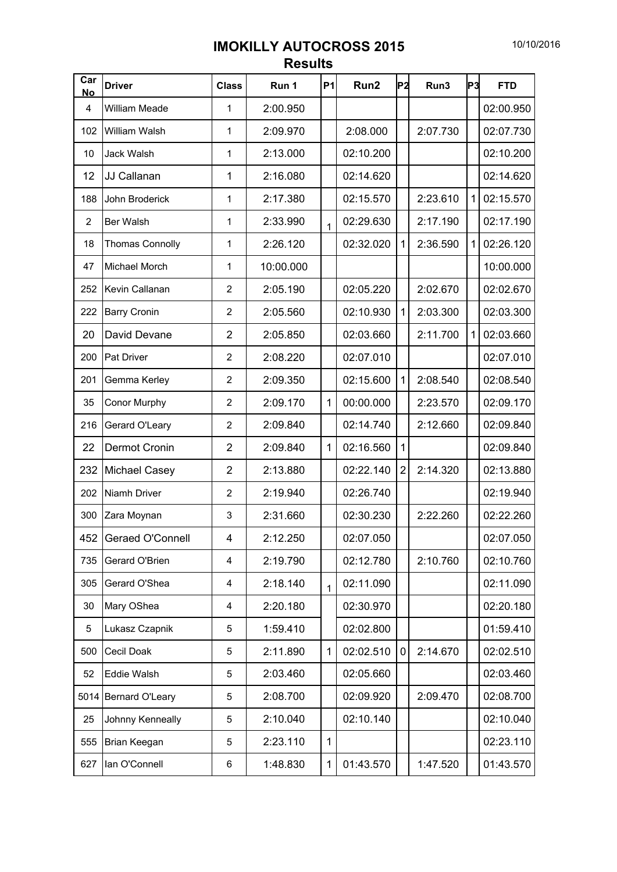## **IMOKILLY AUTOCROSS 2015 Results**

| Car<br><b>No</b> | <b>Driver</b>          | <b>Class</b>   | Run 1     | <b>P1</b>    | Run <sub>2</sub> | lP2            | Run3     | P3 | <b>FTD</b> |
|------------------|------------------------|----------------|-----------|--------------|------------------|----------------|----------|----|------------|
| 4                | <b>William Meade</b>   | 1              | 2:00.950  |              |                  |                |          |    | 02:00.950  |
| 102              | William Walsh          | 1              | 2:09.970  |              | 2:08.000         |                | 2:07.730 |    | 02:07.730  |
| 10               | <b>Jack Walsh</b>      | 1              | 2:13.000  |              | 02:10.200        |                |          |    | 02:10.200  |
| 12               | JJ Callanan            | 1              | 2:16.080  |              | 02:14.620        |                |          |    | 02:14.620  |
| 188              | John Broderick         | 1              | 2:17.380  |              | 02:15.570        |                | 2:23.610 | 1  | 02:15.570  |
| $\overline{2}$   | Ber Walsh              | 1              | 2:33.990  | 1            | 02:29.630        |                | 2:17.190 |    | 02:17.190  |
| 18               | <b>Thomas Connolly</b> | 1              | 2:26.120  |              | 02:32.020        | 1              | 2:36.590 | 1  | 02:26.120  |
| 47               | Michael Morch          | 1              | 10:00.000 |              |                  |                |          |    | 10:00.000  |
| 252              | Kevin Callanan         | $\overline{2}$ | 2:05.190  |              | 02:05.220        |                | 2:02.670 |    | 02:02.670  |
| 222              | <b>Barry Cronin</b>    | $\overline{2}$ | 2:05.560  |              | 02:10.930        | $\mathbf{1}$   | 2:03.300 |    | 02:03.300  |
| 20               | David Devane           | $\overline{2}$ | 2:05.850  |              | 02:03.660        |                | 2:11.700 | 1  | 02:03.660  |
| 200              | <b>Pat Driver</b>      | $\overline{2}$ | 2:08.220  |              | 02:07.010        |                |          |    | 02:07.010  |
| 201              | Gemma Kerley           | $\overline{2}$ | 2:09.350  |              | 02:15.600        | $\mathbf{1}$   | 2:08.540 |    | 02:08.540  |
| 35               | <b>Conor Murphy</b>    | $\overline{2}$ | 2:09.170  | $\mathbf{1}$ | 00:00.000        |                | 2:23.570 |    | 02:09.170  |
| 216              | Gerard O'Leary         | 2              | 2:09.840  |              | 02:14.740        |                | 2:12.660 |    | 02:09.840  |
| 22               | <b>Dermot Cronin</b>   | $\overline{2}$ | 2:09.840  | $\mathbf{1}$ | 02:16.560        | $\mathbf{1}$   |          |    | 02:09.840  |
| 232              | Michael Casey          | $\overline{2}$ | 2:13.880  |              | 02:22.140        | $\overline{2}$ | 2:14.320 |    | 02:13.880  |
| 202              | Niamh Driver           | $\overline{2}$ | 2:19.940  |              | 02:26.740        |                |          |    | 02:19.940  |
| 300              | Zara Moynan            | 3              | 2:31.660  |              | 02:30.230        |                | 2:22.260 |    | 02:22.260  |
| 452              | Geraed O'Connell       | 4              | 2:12.250  |              | 02:07.050        |                |          |    | 02:07.050  |
| 735              | Gerard O'Brien         | 4              | 2:19.790  |              | 02:12.780        |                | 2:10.760 |    | 02:10.760  |
| 305              | Gerard O'Shea          | 4              | 2:18.140  | $\mathbf{1}$ | 02:11.090        |                |          |    | 02:11.090  |
| 30               | Mary OShea             | 4              | 2:20.180  |              | 02:30.970        |                |          |    | 02:20.180  |
| 5                | Lukasz Czapnik         | 5              | 1:59.410  |              | 02:02.800        |                |          |    | 01:59.410  |
| 500              | Cecil Doak             | 5              | 2:11.890  | $\mathbf{1}$ | 02:02.510        | 0              | 2:14.670 |    | 02:02.510  |
| 52               | Eddie Walsh            | 5              | 2:03.460  |              | 02:05.660        |                |          |    | 02:03.460  |
| 5014             | Bernard O'Leary        | 5              | 2:08.700  |              | 02:09.920        |                | 2:09.470 |    | 02:08.700  |
| 25               | Johnny Kenneally       | 5              | 2:10.040  |              | 02:10.140        |                |          |    | 02:10.040  |
| 555              | Brian Keegan           | 5              | 2:23.110  | 1            |                  |                |          |    | 02:23.110  |
| 627              | lan O'Connell          | 6              | 1:48.830  | $\mathbf{1}$ | 01:43.570        |                | 1:47.520 |    | 01:43.570  |